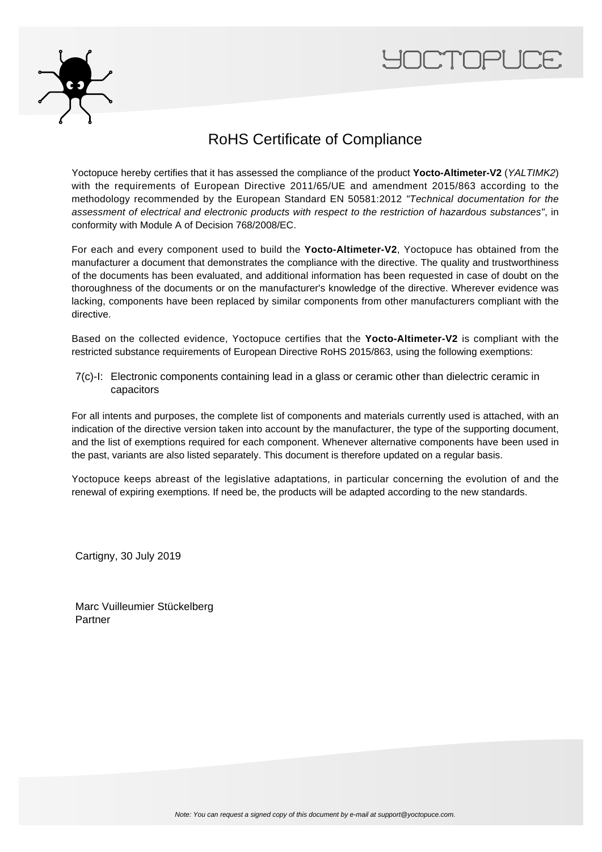



## RoHS Certificate of Compliance

Yoctopuce hereby certifies that it has assessed the compliance of the product **Yocto-Altimeter-V2** (YALTIMK2) with the requirements of European Directive 2011/65/UE and amendment 2015/863 according to the methodology recommended by the European Standard EN 50581:2012 "Technical documentation for the assessment of electrical and electronic products with respect to the restriction of hazardous substances", in conformity with Module A of Decision 768/2008/EC.

For each and every component used to build the **Yocto-Altimeter-V2**, Yoctopuce has obtained from the manufacturer a document that demonstrates the compliance with the directive. The quality and trustworthiness of the documents has been evaluated, and additional information has been requested in case of doubt on the thoroughness of the documents or on the manufacturer's knowledge of the directive. Wherever evidence was lacking, components have been replaced by similar components from other manufacturers compliant with the directive.

Based on the collected evidence, Yoctopuce certifies that the **Yocto-Altimeter-V2** is compliant with the restricted substance requirements of European Directive RoHS 2015/863, using the following exemptions:

7(c)-I: Electronic components containing lead in a glass or ceramic other than dielectric ceramic in capacitors

For all intents and purposes, the complete list of components and materials currently used is attached, with an indication of the directive version taken into account by the manufacturer, the type of the supporting document, and the list of exemptions required for each component. Whenever alternative components have been used in the past, variants are also listed separately. This document is therefore updated on a regular basis.

Yoctopuce keeps abreast of the legislative adaptations, in particular concerning the evolution of and the renewal of expiring exemptions. If need be, the products will be adapted according to the new standards.

Cartigny, 30 July 2019

Marc Vuilleumier Stückelberg Partner